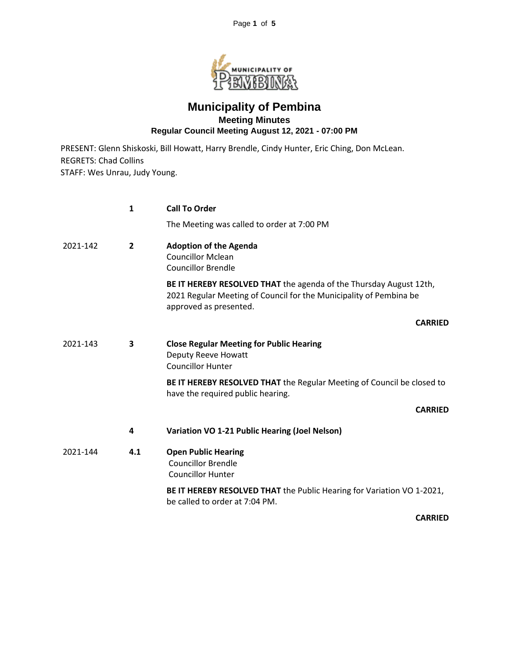Page **1** of **5**



## **Municipality of Pembina Meeting Minutes Regular Council Meeting August 12, 2021 - 07:00 PM**

PRESENT: Glenn Shiskoski, Bill Howatt, Harry Brendle, Cindy Hunter, Eric Ching, Don McLean. REGRETS: Chad Collins STAFF: Wes Unrau, Judy Young.

|          | 1              | <b>Call To Order</b>                                                                                                                                               |
|----------|----------------|--------------------------------------------------------------------------------------------------------------------------------------------------------------------|
|          |                | The Meeting was called to order at 7:00 PM                                                                                                                         |
| 2021-142 | $\overline{2}$ | <b>Adoption of the Agenda</b><br><b>Councillor Mclean</b><br><b>Councillor Brendle</b>                                                                             |
|          |                | BE IT HEREBY RESOLVED THAT the agenda of the Thursday August 12th,<br>2021 Regular Meeting of Council for the Municipality of Pembina be<br>approved as presented. |
|          |                | <b>CARRIED</b>                                                                                                                                                     |
| 2021-143 | 3              | <b>Close Regular Meeting for Public Hearing</b><br>Deputy Reeve Howatt<br><b>Councillor Hunter</b>                                                                 |
|          |                | BE IT HEREBY RESOLVED THAT the Regular Meeting of Council be closed to<br>have the required public hearing.                                                        |
|          |                | <b>CARRIED</b>                                                                                                                                                     |
|          | 4              | Variation VO 1-21 Public Hearing (Joel Nelson)                                                                                                                     |
| 2021-144 | 4.1            | <b>Open Public Hearing</b><br><b>Councillor Brendle</b><br><b>Councillor Hunter</b>                                                                                |
|          |                | BE IT HEREBY RESOLVED THAT the Public Hearing for Variation VO 1-2021,<br>be called to order at 7:04 PM.                                                           |

**CARRIED**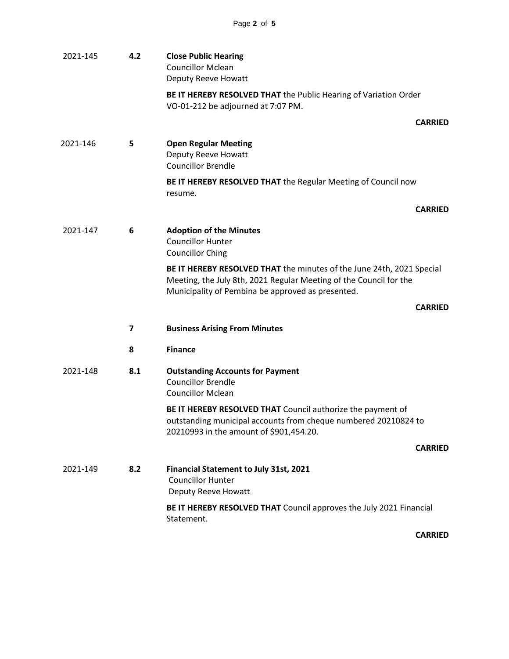| 2021-145 | 4.2 | <b>Close Public Hearing</b><br><b>Councillor Mclean</b><br>Deputy Reeve Howatt                                                                                                                   |  |
|----------|-----|--------------------------------------------------------------------------------------------------------------------------------------------------------------------------------------------------|--|
|          |     | BE IT HEREBY RESOLVED THAT the Public Hearing of Variation Order<br>VO-01-212 be adjourned at 7:07 PM.                                                                                           |  |
|          |     | <b>CARRIED</b>                                                                                                                                                                                   |  |
| 2021-146 | 5   | <b>Open Regular Meeting</b><br>Deputy Reeve Howatt<br><b>Councillor Brendle</b>                                                                                                                  |  |
|          |     | BE IT HEREBY RESOLVED THAT the Regular Meeting of Council now<br>resume.                                                                                                                         |  |
|          |     | <b>CARRIED</b>                                                                                                                                                                                   |  |
| 2021-147 | 6   | <b>Adoption of the Minutes</b><br><b>Councillor Hunter</b><br><b>Councillor Ching</b>                                                                                                            |  |
|          |     | BE IT HEREBY RESOLVED THAT the minutes of the June 24th, 2021 Special<br>Meeting, the July 8th, 2021 Regular Meeting of the Council for the<br>Municipality of Pembina be approved as presented. |  |
|          |     | <b>CARRIED</b>                                                                                                                                                                                   |  |
|          | 7   | <b>Business Arising From Minutes</b>                                                                                                                                                             |  |
|          | 8   | <b>Finance</b>                                                                                                                                                                                   |  |
| 2021-148 | 8.1 | <b>Outstanding Accounts for Payment</b><br><b>Councillor Brendle</b><br><b>Councillor Mclean</b>                                                                                                 |  |
|          |     | BE IT HEREBY RESOLVED THAT Council authorize the payment of<br>outstanding municipal accounts from cheque numbered 20210824 to<br>20210993 in the amount of \$901,454.20.                        |  |
|          |     | <b>CARRIED</b>                                                                                                                                                                                   |  |
| 2021-149 | 8.2 | Financial Statement to July 31st, 2021<br><b>Councillor Hunter</b><br>Deputy Reeve Howatt                                                                                                        |  |
|          |     | BE IT HEREBY RESOLVED THAT Council approves the July 2021 Financial<br>Statement.                                                                                                                |  |

**CARRIED**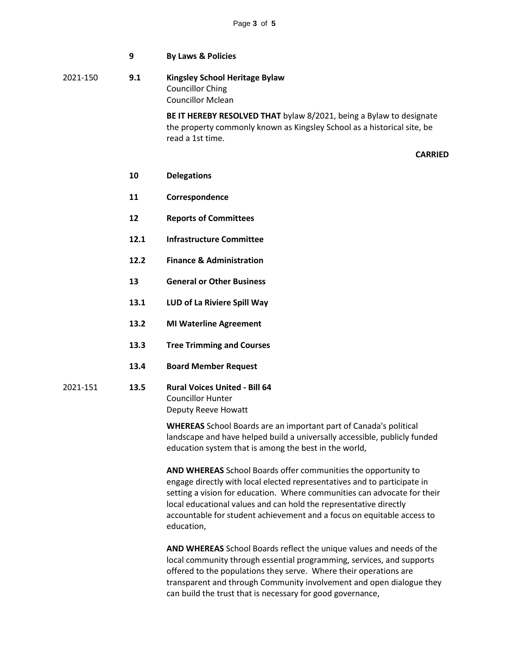|          | 9   | <b>By Laws &amp; Policies</b>                                                                                                                                      |
|----------|-----|--------------------------------------------------------------------------------------------------------------------------------------------------------------------|
| 2021-150 | 9.1 | <b>Kingsley School Heritage Bylaw</b><br><b>Councillor Ching</b><br><b>Councillor Mclean</b>                                                                       |
|          |     | BE IT HEREBY RESOLVED THAT bylaw 8/2021, being a Bylaw to designate<br>the property commonly known as Kingsley School as a historical site, be<br>read a 1st time. |
|          |     | <b>CARF</b>                                                                                                                                                        |
|          | 10  | <b>Delegations</b>                                                                                                                                                 |
|          | 11  | Correspondence                                                                                                                                                     |
|          | 12  | <b>Reports of Committees</b>                                                                                                                                       |

- **12.1 Infrastructure Committee**
- **12.2 Finance & Administration**
- **13 General or Other Business**
- **13.1 LUD of La Riviere Spill Way**
- **13.2 MI Waterline Agreement**
- **13.3 Tree Trimming and Courses**
- **13.4 Board Member Request**
- 2021-151 **13.5 Rural Voices United - Bill 64** Councillor Hunter Deputy Reeve Howatt

**WHEREAS** School Boards are an important part of Canada's political landscape and have helped build a universally accessible, publicly funded education system that is among the best in the world,

**CARRIED**

**AND WHEREAS** School Boards offer communities the opportunity to engage directly with local elected representatives and to participate in setting a vision for education. Where communities can advocate for their local educational values and can hold the representative directly accountable for student achievement and a focus on equitable access to education,

**AND WHEREAS** School Boards reflect the unique values and needs of the local community through essential programming, services, and supports offered to the populations they serve. Where their operations are transparent and through Community involvement and open dialogue they can build the trust that is necessary for good governance,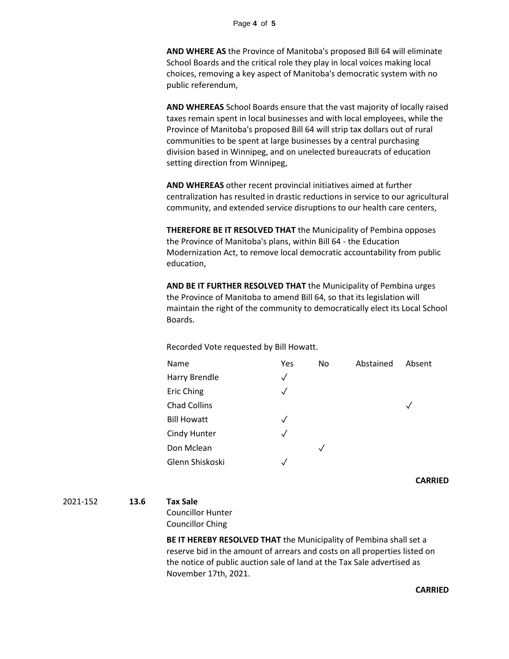## Page **4** of **5**

**AND WHERE AS** the Province of Manitoba's proposed Bill 64 will eliminate School Boards and the critical role they play in local voices making local choices, removing a key aspect of Manitoba's democratic system with no public referendum,

**AND WHEREAS** School Boards ensure that the vast majority of locally raised taxes remain spent in local businesses and with local employees, while the Province of Manitoba's proposed Bill 64 will strip tax dollars out of rural communities to be spent at large businesses by a central purchasing division based in Winnipeg, and on unelected bureaucrats of education setting direction from Winnipeg,

**AND WHEREAS** other recent provincial initiatives aimed at further centralization has resulted in drastic reductions in service to our agricultural community, and extended service disruptions to our health care centers,

**THEREFORE BE IT RESOLVED THAT** the Municipality of Pembina opposes the Province of Manitoba's plans, within Bill 64 - the Education Modernization Act, to remove local democratic accountability from public education,

**AND BE IT FURTHER RESOLVED THAT** the Municipality of Pembina urges the Province of Manitoba to amend Bill 64, so that its legislation will maintain the right of the community to democratically elect its Local School Boards.

Recorded Vote requested by Bill Howatt.

| Yes          | No. | Abstained | Absent |
|--------------|-----|-----------|--------|
| $\checkmark$ |     |           |        |
| $\sqrt{}$    |     |           |        |
|              |     |           |        |
| $\checkmark$ |     |           |        |
| $\checkmark$ |     |           |        |
|              | ✓   |           |        |
|              |     |           |        |
|              |     |           |        |

**CARRIED**

2021-152 **13.6 Tax Sale**

Councillor Hunter Councillor Ching

**BE IT HEREBY RESOLVED THAT** the Municipality of Pembina shall set a reserve bid in the amount of arrears and costs on all properties listed on the notice of public auction sale of land at the Tax Sale advertised as November 17th, 2021.